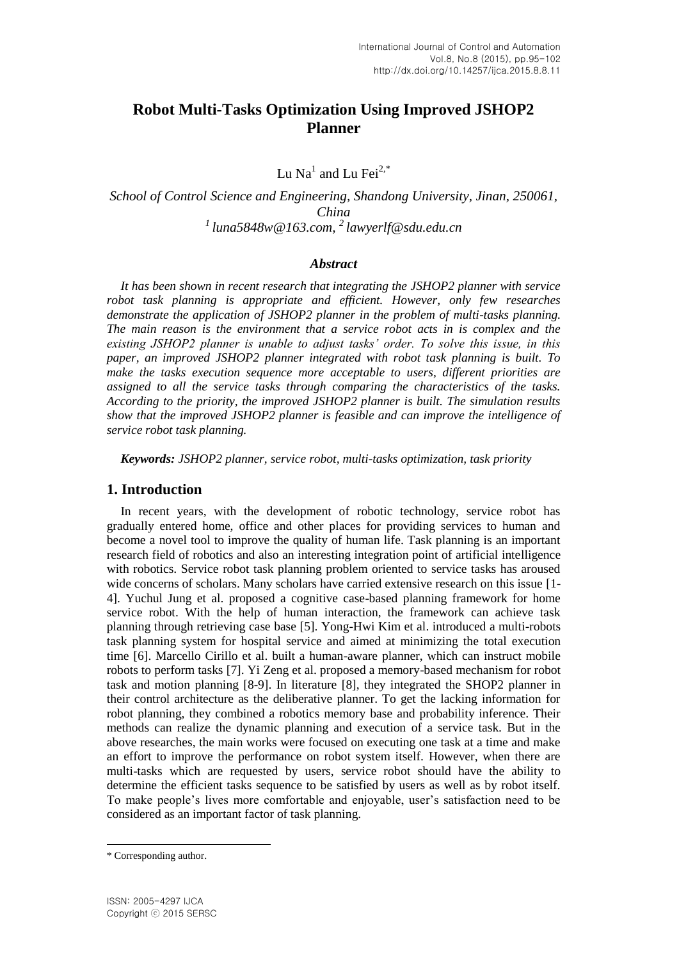# **Robot Multi-Tasks Optimization Using Improved JSHOP2 Planner**

Lu Na $^1$  and Lu Fei $^{2,*}$ 

*School of Control Science and Engineering, Shandong University, Jinan, 250061, China <sup>1</sup>luna5848w@163.com, <sup>2</sup>lawyerlf@sdu.edu.cn*

#### *Abstract*

*It has been shown in recent research that integrating the JSHOP2 planner with service robot task planning is appropriate and efficient. However, only few researches demonstrate the application of JSHOP2 planner in the problem of multi-tasks planning. The main reason is the environment that a service robot acts in is complex and the existing JSHOP2 planner is unable to adjust tasks' order. To solve this issue, in this paper, an improved JSHOP2 planner integrated with robot task planning is built. To make the tasks execution sequence more acceptable to users, different priorities are assigned to all the service tasks through comparing the characteristics of the tasks. According to the priority, the improved JSHOP2 planner is built. The simulation results show that the improved JSHOP2 planner is feasible and can improve the intelligence of service robot task planning.*

*Keywords: JSHOP2 planner, service robot, multi-tasks optimization, task priority*

## **1. Introduction**

In recent years, with the development of robotic technology, service robot has gradually entered home, office and other places for providing services to human and become a novel tool to improve the quality of human life. Task planning is an important research field of robotics and also an interesting integration point of artificial intelligence with robotics. Service robot task planning problem oriented to service tasks has aroused wide concerns of scholars. Many scholars have carried extensive research on this issue [1- 4]. Yuchul Jung et al. proposed a cognitive case-based planning framework for home service robot. With the help of human interaction, the framework can achieve task planning through retrieving case base [5]. Yong-Hwi Kim et al. introduced a multi-robots task planning system for hospital service and aimed at minimizing the total execution time [6]. Marcello Cirillo et al. built a human-aware planner, which can instruct mobile robots to perform tasks [7]. Yi Zeng et al. proposed a memory-based mechanism for robot task and motion planning [8-9]. In literature [8], they integrated the SHOP2 planner in their control architecture as the deliberative planner. To get the lacking information for robot planning, they combined a robotics memory base and probability inference. Their methods can realize the dynamic planning and execution of a service task. But in the above researches, the main works were focused on executing one task at a time and make an effort to improve the performance on robot system itself. However, when there are multi-tasks which are requested by users, service robot should have the ability to determine the efficient tasks sequence to be satisfied by users as well as by robot itself. To make people's lives more comfortable and enjoyable, user's satisfaction need to be considered as an important factor of task planning.

l

<sup>\*</sup> Corresponding author.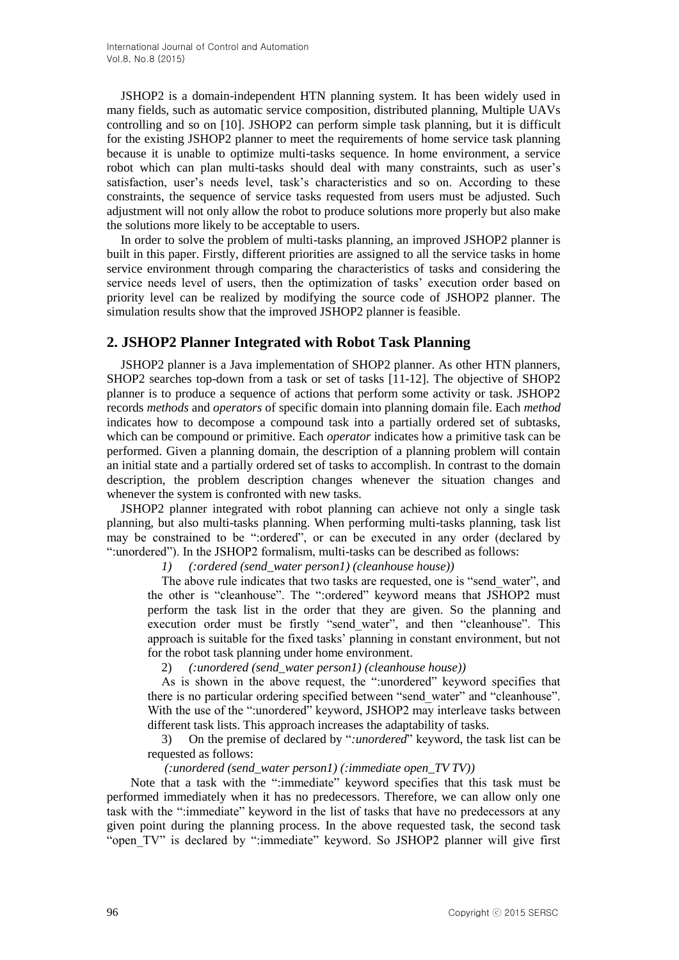JSHOP2 is a domain-independent HTN planning system. It has been widely used in many fields, such as automatic service composition, distributed planning, Multiple UAVs controlling and so on [10]. JSHOP2 can perform simple task planning, but it is difficult for the existing JSHOP2 planner to meet the requirements of home service task planning because it is unable to optimize multi-tasks sequence. In home environment, a service robot which can plan multi-tasks should deal with many constraints, such as user's satisfaction, user's needs level, task's characteristics and so on. According to these constraints, the sequence of service tasks requested from users must be adjusted. Such adjustment will not only allow the robot to produce solutions more properly but also make the solutions more likely to be acceptable to users.

In order to solve the problem of multi-tasks planning, an improved JSHOP2 planner is built in this paper. Firstly, different priorities are assigned to all the service tasks in home service environment through comparing the characteristics of tasks and considering the service needs level of users, then the optimization of tasks' execution order based on priority level can be realized by modifying the source code of JSHOP2 planner. The simulation results show that the improved JSHOP2 planner is feasible.

# **2. JSHOP2 Planner Integrated with Robot Task Planning**

JSHOP2 planner is a Java implementation of SHOP2 planner. As other HTN planners, SHOP2 searches top-down from a task or set of tasks [11-12]. The objective of SHOP2 planner is to produce a sequence of actions that perform some activity or task. JSHOP2 records *methods* and *operators* of specific domain into planning domain file. Each *method* indicates how to decompose a compound task into a partially ordered set of subtasks, which can be compound or primitive. Each *operator* indicates how a primitive task can be performed. Given a planning domain, the description of a planning problem will contain an initial state and a partially ordered set of tasks to accomplish. In contrast to the domain description, the problem description changes whenever the situation changes and whenever the system is confronted with new tasks.

JSHOP2 planner integrated with robot planning can achieve not only a single task planning, but also multi-tasks planning. When performing multi-tasks planning, task list may be constrained to be ":ordered", or can be executed in any order (declared by ":unordered"). In the JSHOP2 formalism, multi-tasks can be described as follows:

#### *1) (:ordered (send\_water person1) (cleanhouse house))*

The above rule indicates that two tasks are requested, one is "send water", and the other is "cleanhouse". The ":ordered" keyword means that JSHOP2 must perform the task list in the order that they are given. So the planning and execution order must be firstly "send water", and then "cleanhouse". This approach is suitable for the fixed tasks' planning in constant environment, but not for the robot task planning under home environment.

2) *(:unordered (send\_water person1) (cleanhouse house))*

As is shown in the above request, the ":unordered" keyword specifies that there is no particular ordering specified between "send\_water" and "cleanhouse". With the use of the ":unordered" keyword, JSHOP2 may interleave tasks between different task lists. This approach increases the adaptability of tasks.

3) On the premise of declared by "*:unordered*" keyword, the task list can be requested as follows:

#### *(:unordered (send\_water person1) (:immediate open\_TV TV))*

Note that a task with the ":immediate" keyword specifies that this task must be performed immediately when it has no predecessors. Therefore, we can allow only one task with the ":immediate" keyword in the list of tasks that have no predecessors at any given point during the planning process. In the above requested task, the second task "open\_TV" is declared by ":immediate" keyword. So JSHOP2 planner will give first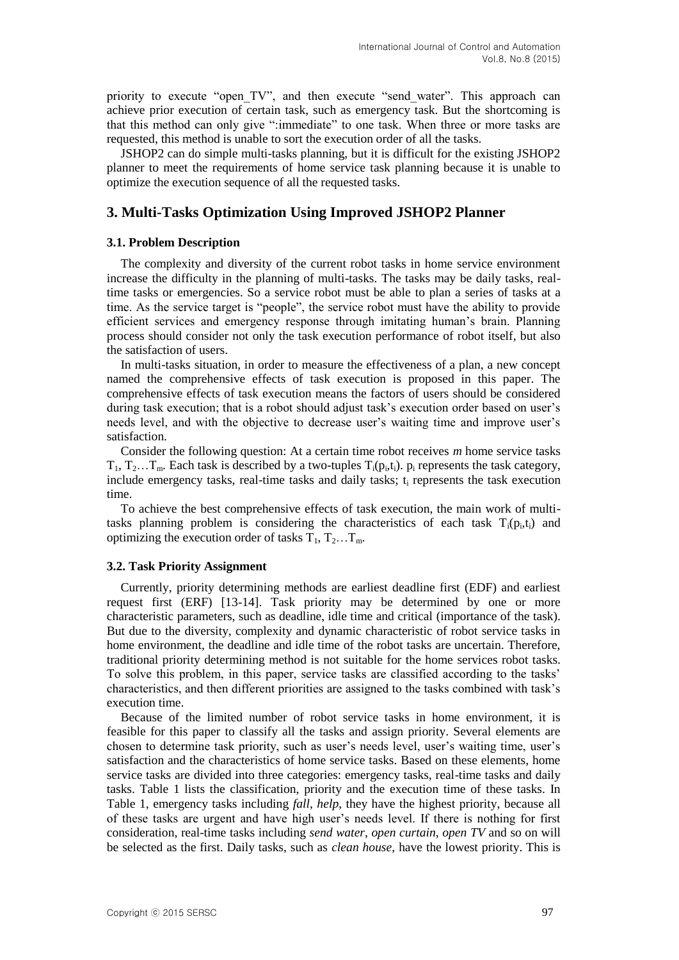priority to execute "open TV", and then execute "send water". This approach can achieve prior execution of certain task, such as emergency task. But the shortcoming is that this method can only give ":immediate" to one task. When three or more tasks are requested, this method is unable to sort the execution order of all the tasks.

JSHOP2 can do simple multi-tasks planning, but it is difficult for the existing JSHOP2 planner to meet the requirements of home service task planning because it is unable to optimize the execution sequence of all the requested tasks.

## **3. Multi-Tasks Optimization Using Improved JSHOP2 Planner**

#### **3.1. Problem Description**

The complexity and diversity of the current robot tasks in home service environment increase the difficulty in the planning of multi-tasks. The tasks may be daily tasks, realtime tasks or emergencies. So a service robot must be able to plan a series of tasks at a time. As the service target is "people", the service robot must have the ability to provide efficient services and emergency response through imitating human's brain. Planning process should consider not only the task execution performance of robot itself, but also the satisfaction of users.

In multi-tasks situation, in order to measure the effectiveness of a plan, a new concept named the comprehensive effects of task execution is proposed in this paper. The comprehensive effects of task execution means the factors of users should be considered during task execution; that is a robot should adjust task's execution order based on user's needs level, and with the objective to decrease user's waiting time and improve user's satisfaction.

Consider the following question: At a certain time robot receives *m* home service tasks  $T_1, T_2...T_m$ . Each task is described by a two-tuples  $T_i(p_i,t_i)$ .  $p_i$  represents the task category, include emergency tasks, real-time tasks and daily tasks;  $t_i$  represents the task execution time.

To achieve the best comprehensive effects of task execution, the main work of multitasks planning problem is considering the characteristics of each task  $T_i(p_i,t_i)$  and optimizing the execution order of tasks  $T_1, T_2, \ldots, T_m$ .

## **3.2. Task Priority Assignment**

Currently, priority determining methods are earliest deadline first (EDF) and earliest request first (ERF) [13-14]. Task priority may be determined by one or more characteristic parameters, such as deadline, idle time and critical (importance of the task). But due to the diversity, complexity and dynamic characteristic of robot service tasks in home environment, the deadline and idle time of the robot tasks are uncertain. Therefore, traditional priority determining method is not suitable for the home services robot tasks. To solve this problem, in this paper, service tasks are classified according to the tasks' characteristics, and then different priorities are assigned to the tasks combined with task's execution time.

Because of the limited number of robot service tasks in home environment, it is feasible for this paper to classify all the tasks and assign priority. Several elements are chosen to determine task priority, such as user's needs level, user's waiting time, user's satisfaction and the characteristics of home service tasks. Based on these elements, home service tasks are divided into three categories: emergency tasks, real-time tasks and daily tasks. Table 1 lists the classification, priority and the execution time of these tasks. In Table 1, emergency tasks including *fall*, *help*, they have the highest priority, because all of these tasks are urgent and have high user's needs level. If there is nothing for first consideration, real-time tasks including *send water*, *open curtain*, *open TV* and so on will be selected as the first. Daily tasks, such as *clean house*, have the lowest priority. This is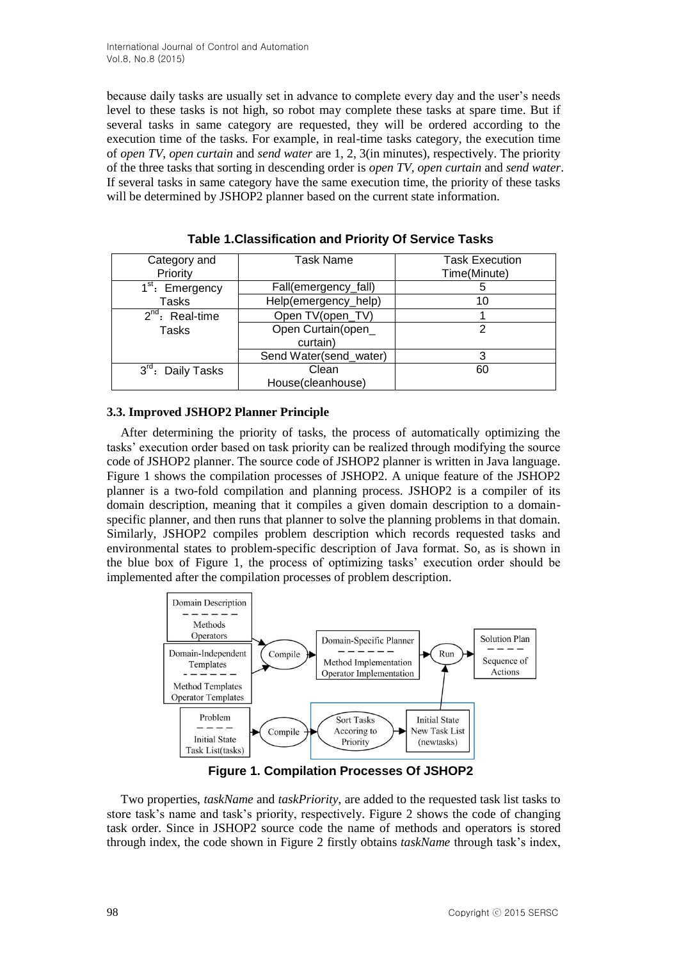because daily tasks are usually set in advance to complete every day and the user's needs level to these tasks is not high, so robot may complete these tasks at spare time. But if several tasks in same category are requested, they will be ordered according to the execution time of the tasks. For example, in real-time tasks category, the execution time of *open TV*, *open curtain* and *send water* are 1, 2, 3(in minutes), respectively. The priority of the three tasks that sorting in descending order is *open TV*, *open curtain* and *send water*. If several tasks in same category have the same execution time, the priority of these tasks will be determined by JSHOP2 planner based on the current state information.

| Category and<br>Priority         | Task Name                      | <b>Task Execution</b><br>Time(Minute) |
|----------------------------------|--------------------------------|---------------------------------------|
| 1 <sup>st</sup> : Emergency      | Fall(emergency_fall)           |                                       |
| Tasks                            | Help(emergency_help)           | 10                                    |
| $2^{nd}$ : Real-time             | Open TV(open_TV)               |                                       |
| Tasks                            | Open Curtain(open_<br>curtain) | 2                                     |
|                                  | Send Water(send_water)         | 3                                     |
| $3^{\text{rd}}$ :<br>Daily Tasks | Clean<br>House(cleanhouse)     | 60                                    |

**Table 1.Classification and Priority Of Service Tasks** 

### **3.3. Improved JSHOP2 Planner Principle**

After determining the priority of tasks, the process of automatically optimizing the tasks' execution order based on task priority can be realized through modifying the source code of JSHOP2 planner. The source code of JSHOP2 planner is written in Java language. Figure 1 shows the compilation processes of JSHOP2. A unique feature of the JSHOP2 planner is a two-fold compilation and planning process. JSHOP2 is a compiler of its domain description, meaning that it compiles a given domain description to a domainspecific planner, and then runs that planner to solve the planning problems in that domain. Similarly, JSHOP2 compiles problem description which records requested tasks and environmental states to problem-specific description of Java format. So, as is shown in the blue box of Figure 1, the process of optimizing tasks' execution order should be implemented after the compilation processes of problem description.



**Figure 1. Compilation Processes Of JSHOP2**

Two properties, *taskName* and *taskPriority*, are added to the requested task list tasks to store task's name and task's priority, respectively. Figure 2 shows the code of changing task order. Since in JSHOP2 source code the name of methods and operators is stored through index, the code shown in Figure 2 firstly obtains *taskName* through task's index,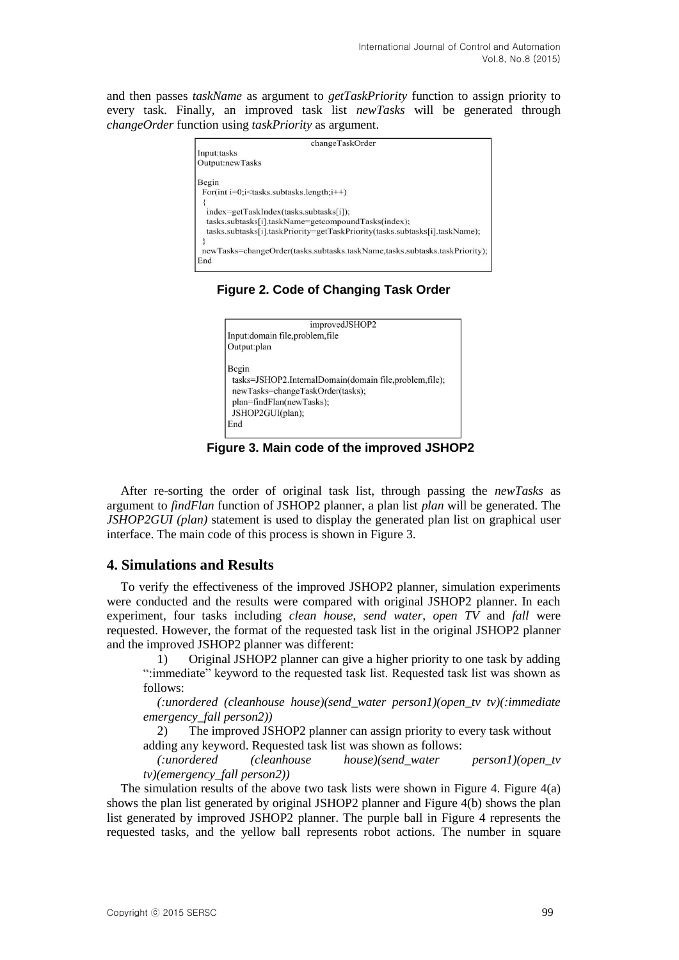and then passes *taskName* as argument to *getTaskPriority* function to assign priority to every task. Finally, an improved task list *newTasks* will be generated through *changeOrder* function using *taskPriority* as argument.

| changeTaskOrder                                                             |  |
|-----------------------------------------------------------------------------|--|
| Input:tasks                                                                 |  |
| Output:newTasks                                                             |  |
| Begin                                                                       |  |
| For(int $i=0$ ; $i$ stasks. subtasks. length; $i++$ )                       |  |
|                                                                             |  |
| index=getTaskIndex(tasks.subtasks[i]);                                      |  |
| tasks.subtasks[i].taskName=getcompoundTasks(index);                         |  |
| tasks.subtasks[i].taskPriority=getTaskPriority(tasks.subtasks[i].taskName); |  |
|                                                                             |  |
| newTasks=changeOrder(tasks.subtasks.taskName.tasks.subtasks.taskPriority);  |  |
| End                                                                         |  |

**Figure 2. Code of Changing Task Order**



**Figure 3. Main code of the improved JSHOP2**

After re-sorting the order of original task list, through passing the *newTasks* as argument to *findFlan* function of JSHOP2 planner, a plan list *plan* will be generated. The *JSHOP2GUI (plan)* statement is used to display the generated plan list on graphical user interface. The main code of this process is shown in Figure 3.

## **4. Simulations and Results**

To verify the effectiveness of the improved JSHOP2 planner, simulation experiments were conducted and the results were compared with original JSHOP2 planner. In each experiment, four tasks including *clean house*, *send water*, *open TV* and *fall* were requested. However, the format of the requested task list in the original JSHOP2 planner and the improved JSHOP2 planner was different:

1) Original JSHOP2 planner can give a higher priority to one task by adding ":immediate" keyword to the requested task list. Requested task list was shown as follows:

*(:unordered (cleanhouse house)(send\_water person1)(open\_tv tv)(:immediate emergency\_fall person2))*

2) The improved JSHOP2 planner can assign priority to every task without adding any keyword. Requested task list was shown as follows:

*(:unordered (cleanhouse house)(send\_water person1)(open\_tv tv)(emergency\_fall person2))*

The simulation results of the above two task lists were shown in Figure 4. Figure  $4(a)$ shows the plan list generated by original JSHOP2 planner and Figure 4(b) shows the plan list generated by improved JSHOP2 planner. The purple ball in Figure 4 represents the requested tasks, and the yellow ball represents robot actions. The number in square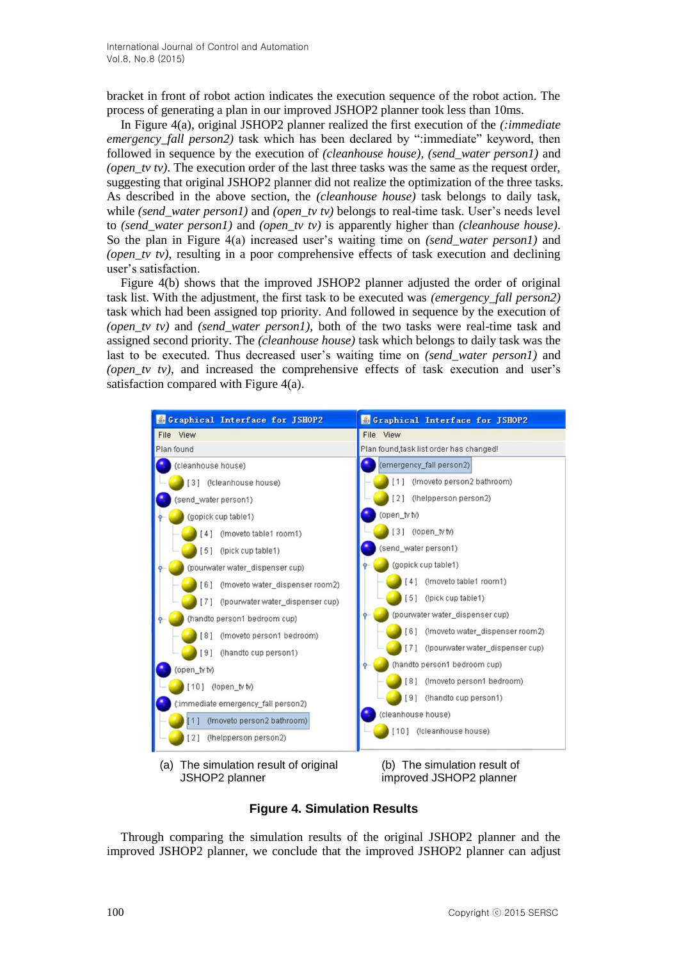bracket in front of robot action indicates the execution sequence of the robot action. The process of generating a plan in our improved JSHOP2 planner took less than 10ms.

In Figure 4(a), original JSHOP2 planner realized the first execution of the *(:immediate emergency fall person2*) task which has been declared by ":immediate" keyword, then followed in sequence by the execution of *(cleanhouse house)*, *(send\_water person1)* and *(open\_tv tv)*. The execution order of the last three tasks was the same as the request order, suggesting that original JSHOP2 planner did not realize the optimization of the three tasks. As described in the above section, the *(cleanhouse house)* task belongs to daily task, while *(send\_water person1)* and *(open\_tv tv)* belongs to real-time task. User's needs level to *(send\_water person1)* and *(open\_tv tv)* is apparently higher than *(cleanhouse house)*. So the plan in Figure 4(a) increased user's waiting time on *(send\_water person1)* and *(open\_tv tv)*, resulting in a poor comprehensive effects of task execution and declining user's satisfaction.

Figure 4(b) shows that the improved JSHOP2 planner adjusted the order of original task list. With the adjustment, the first task to be executed was *(emergency\_fall person2)* task which had been assigned top priority. And followed in sequence by the execution of *(open\_tv tv)* and *(send\_water person1)*, both of the two tasks were real-time task and assigned second priority. The *(cleanhouse house)* task which belongs to daily task was the last to be executed. Thus decreased user's waiting time on *(send\_water person1)* and *(open tv tv)*, and increased the comprehensive effects of task execution and user's satisfaction compared with Figure 4(a).



(a) The simulation result of original JSHOP2 planner

(b) The simulation result of improved JSHOP2 planner

**Figure 4. Simulation Results**

Through comparing the simulation results of the original JSHOP2 planner and the improved JSHOP2 planner, we conclude that the improved JSHOP2 planner can adjust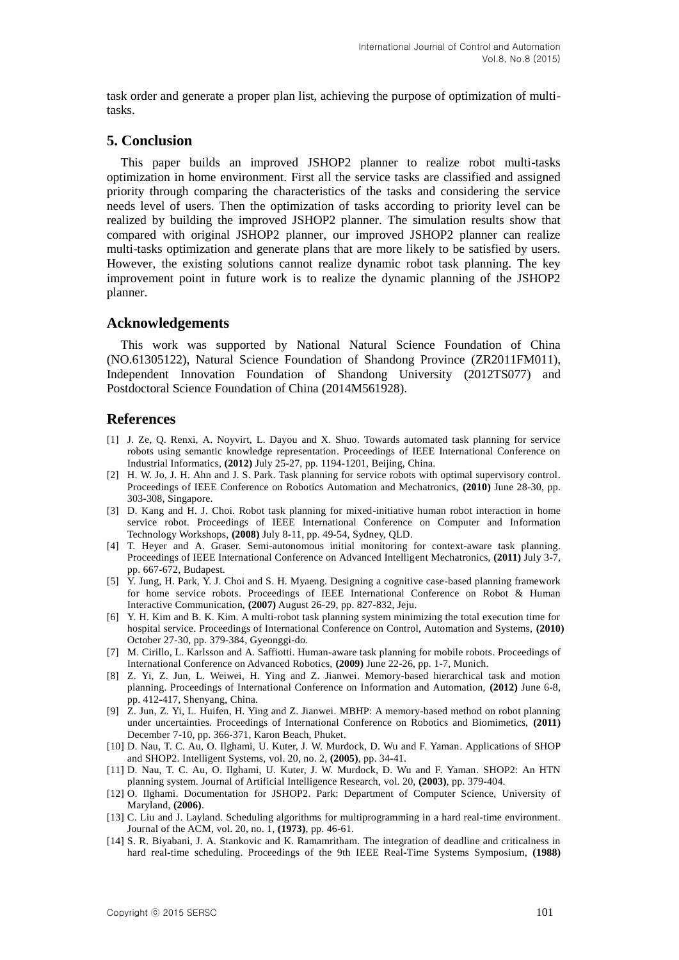task order and generate a proper plan list, achieving the purpose of optimization of multitasks.

### **5. Conclusion**

This paper builds an improved JSHOP2 planner to realize robot multi-tasks optimization in home environment. First all the service tasks are classified and assigned priority through comparing the characteristics of the tasks and considering the service needs level of users. Then the optimization of tasks according to priority level can be realized by building the improved JSHOP2 planner. The simulation results show that compared with original JSHOP2 planner, our improved JSHOP2 planner can realize multi-tasks optimization and generate plans that are more likely to be satisfied by users. However, the existing solutions cannot realize dynamic robot task planning. The key improvement point in future work is to realize the dynamic planning of the JSHOP2 planner.

### **Acknowledgements**

This work was supported by National Natural Science Foundation of China (NO.61305122), Natural Science Foundation of Shandong Province (ZR2011FM011), Independent Innovation Foundation of Shandong University (2012TS077) and Postdoctoral Science Foundation of China (2014M561928).

## **References**

- [1] J. Ze, Q. Renxi, A. Noyvirt, L. Dayou and X. Shuo. Towards automated task planning for service robots using semantic knowledge representation. Proceedings of IEEE International Conference on Industrial Informatics, **(2012)** July 25-27, pp. 1194-1201, Beijing, China.
- [2] H. W. Jo, J. H. Ahn and J. S. Park. Task planning for service robots with optimal supervisory control. Proceedings of IEEE Conference on Robotics Automation and Mechatronics, **(2010)** June 28-30, pp. 303-308, Singapore.
- [3] D. Kang and H. J. Choi. Robot task planning for mixed-initiative human robot interaction in home service robot. Proceedings of IEEE International Conference on Computer and Information Technology Workshops, **(2008)** July 8-11, pp. 49-54, Sydney, QLD.
- [4] T. Heyer and A. Graser. Semi-autonomous initial monitoring for context-aware task planning. Proceedings of IEEE International Conference on Advanced Intelligent Mechatronics, **(2011)** July 3-7, pp. 667-672, Budapest.
- [5] Y. Jung, H. Park, Y. J. Choi and S. H. Myaeng. Designing a cognitive case-based planning framework for home service robots. Proceedings of IEEE International Conference on Robot & Human Interactive Communication, **(2007)** August 26-29, pp. 827-832, Jeju.
- [6] Y. H. Kim and B. K. Kim. A multi-robot task planning system minimizing the total execution time for hospital service. Proceedings of International Conference on Control, Automation and Systems, **(2010)** October 27-30, pp. 379-384, Gyeonggi-do.
- [7] M. Cirillo, L. Karlsson and A. Saffiotti. Human-aware task planning for mobile robots. Proceedings of International Conference on Advanced Robotics, **(2009)** June 22-26, pp. 1-7, Munich.
- [8] Z. Yi, Z. Jun, L. Weiwei, H. Ying and Z. Jianwei. Memory-based hierarchical task and motion planning. Proceedings of International Conference on Information and Automation, **(2012)** June 6-8, pp. 412-417, Shenyang, China.
- [9] Z. Jun, Z. Yi, L. Huifen, H. Ying and Z. Jianwei. MBHP: A memory-based method on robot planning under uncertainties. Proceedings of International Conference on Robotics and Biomimetics, **(2011)** December 7-10, pp. 366-371, Karon Beach, Phuket.
- [10] D. Nau, T. C. Au, O. Ilghami, U. Kuter, J. W. Murdock, D. Wu and F. Yaman. Applications of SHOP and SHOP2. Intelligent Systems, vol. 20, no. 2, **(2005)**, pp. 34-41.
- [11] D. Nau, T. C. Au, O. Ilghami, U. Kuter, J. W. Murdock, D. Wu and F. Yaman. SHOP2: An HTN planning system. Journal of Artificial Intelligence Research, vol. 20, **(2003)**, pp. 379-404.
- [12] O. Ilghami. Documentation for JSHOP2. Park: Department of Computer Science, University of Maryland, **(2006)**.
- [13] C. Liu and J. Layland. Scheduling algorithms for multiprogramming in a hard real-time environment. Journal of the ACM, vol. 20, no. 1, **(1973)**, pp. 46-61.
- [14] S. R. Biyabani, J. A. Stankovic and K. Ramamritham. The integration of deadline and criticalness in hard real-time scheduling. Proceedings of the 9th IEEE Real-Time Systems Symposium, **(1988)**